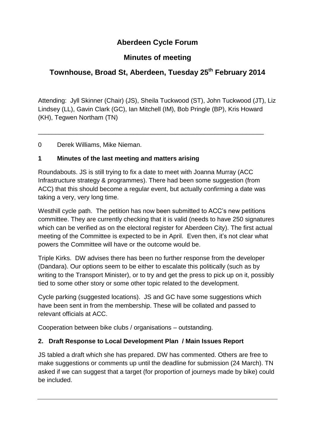# **Aberdeen Cycle Forum**

## **Minutes of meeting**

# **Townhouse, Broad St, Aberdeen, Tuesday 25 th February 2014**

Attending: Jyll Skinner (Chair) (JS), Sheila Tuckwood (ST), John Tuckwood (JT), Liz Lindsey (LL), Gavin Clark (GC), Ian Mitchell (IM), Bob Pringle (BP), Kris Howard (KH), Tegwen Northam (TN)

\_\_\_\_\_\_\_\_\_\_\_\_\_\_\_\_\_\_\_\_\_\_\_\_\_\_\_\_\_\_\_\_\_\_\_\_\_\_\_\_\_\_\_\_\_\_\_\_\_\_\_\_\_\_\_\_\_\_\_\_\_\_\_\_

0 Derek Williams, Mike Nieman.

### **1 Minutes of the last meeting and matters arising**

Roundabouts. JS is still trying to fix a date to meet with Joanna Murray (ACC Infrastructure strategy & programmes). There had been some suggestion (from ACC) that this should become a regular event, but actually confirming a date was taking a very, very long time.

Westhill cycle path. The petition has now been submitted to ACC's new petitions committee. They are currently checking that it is valid (needs to have 250 signatures which can be verified as on the electoral register for Aberdeen City). The first actual meeting of the Committee is expected to be in April. Even then, it's not clear what powers the Committee will have or the outcome would be.

Triple Kirks. DW advises there has been no further response from the developer (Dandara). Our options seem to be either to escalate this politically (such as by writing to the Transport Minister), or to try and get the press to pick up on it, possibly tied to some other story or some other topic related to the development.

Cycle parking (suggested locations). JS and GC have some suggestions which have been sent in from the membership. These will be collated and passed to relevant officials at ACC.

Cooperation between bike clubs / organisations – outstanding.

## **2. Draft Response to Local Development Plan / Main Issues Report**

JS tabled a draft which she has prepared. DW has commented. Others are free to make suggestions or comments up until the deadline for submission (24 March). TN asked if we can suggest that a target (for proportion of journeys made by bike) could be included.